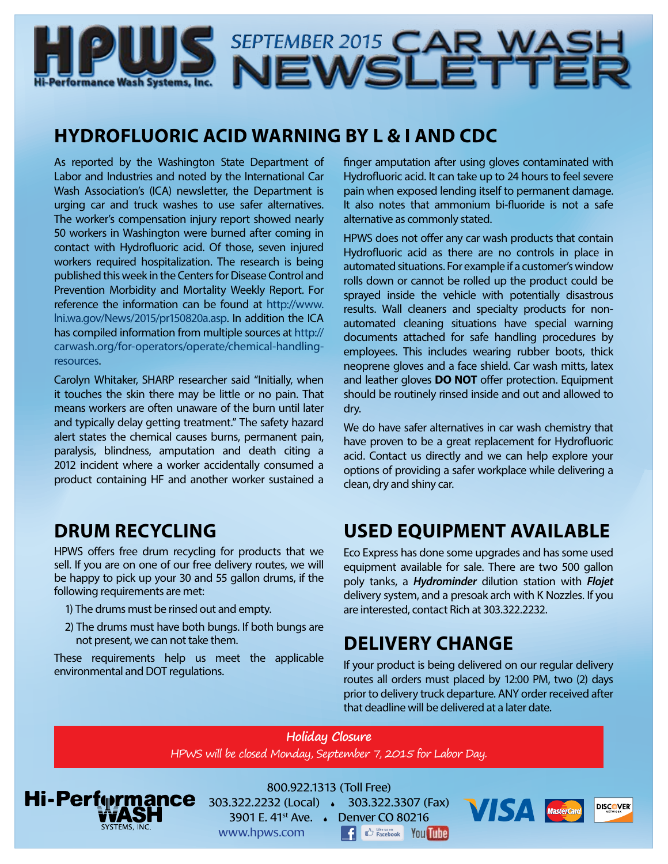

# **HYDROFLUORIC ACID WARNING BY L & I AND CDC**

As reported by the Washington State Department of Labor and Industries and noted by the International Car Wash Association's (ICA) newsletter, the Department is urging car and truck washes to use safer alternatives. The worker's compensation injury report showed nearly 50 workers in Washington were burned after coming in contact with Hydrofluoric acid. Of those, seven injured workers required hospitalization. The research is being published this week in the Centers for Disease Control and Prevention Morbidity and Mortality Weekly Report. For reference the information can be found at [http://www.](http://www.lni.wa.gov/News/2015/pr150820a.asp) [lni.wa.gov/News/2015/pr150820a.asp.](http://www.lni.wa.gov/News/2015/pr150820a.asp) In addition the ICA has compiled information from multiple sources at [http://](http://carwash.org/for-operators/operate/chemical-handling-resources) [carwash.org/for-operators/operate/chemical-handling](http://carwash.org/for-operators/operate/chemical-handling-resources)[resources](http://carwash.org/for-operators/operate/chemical-handling-resources).

Carolyn Whitaker, SHARP researcher said "Initially, when it touches the skin there may be little or no pain. That means workers are often unaware of the burn until later and typically delay getting treatment." The safety hazard alert states the chemical causes burns, permanent pain, paralysis, blindness, amputation and death citing a 2012 incident where a worker accidentally consumed a product containing HF and another worker sustained a

# **DRUM RECYCLING**

HPWS offers free drum recycling for products that we sell. If you are on one of our free delivery routes, we will be happy to pick up your 30 and 55 gallon drums, if the following requirements are met:

- 1) The drums must be rinsed out and empty.
- 2) The drums must have both bungs. If both bungs are not present, we can not take them.

These requirements help us meet the applicable environmental and DOT regulations.

finger amputation after using gloves contaminated with Hydrofluoric acid. It can take up to 24 hours to feel severe pain when exposed lending itself to permanent damage. It also notes that ammonium bi-fluoride is not a safe alternative as commonly stated.

HPWS does not offer any car wash products that contain Hydrofluoric acid as there are no controls in place in automated situations. For example if a customer's window rolls down or cannot be rolled up the product could be sprayed inside the vehicle with potentially disastrous results. Wall cleaners and specialty products for nonautomated cleaning situations have special warning documents attached for safe handling procedures by employees. This includes wearing rubber boots, thick neoprene gloves and a face shield. Car wash mitts, latex and leather gloves **DO NOT** offer protection. Equipment should be routinely rinsed inside and out and allowed to dry.

We do have safer alternatives in car wash chemistry that have proven to be a great replacement for Hydrofluoric acid. Contact us directly and we can help explore your options of providing a safer workplace while delivering a clean, dry and shiny car.

# **USED EQUIPMENT AVAILABLE**

Eco Express has done some upgrades and has some used equipment available for sale. There are two 500 gallon poly tanks, a *Hydrominder* dilution station with *Flojet*  delivery system, and a presoak arch with K Nozzles. If you are interested, contact Rich at 303.322.2232.

### **DELIVERY CHANGE**

If your product is being delivered on our regular delivery routes all orders must placed by 12:00 PM, two (2) days prior to delivery truck departure. ANY order received after that deadline will be delivered at a later date.

#### **Holiday Closure** HPWS will be closed Monday, September 7, 2015 for Labor Day.



800.922.1313 (Toll Free) 303.322.2232 (Local) 303.322.3307 (Fax)

3901 E. 41st Ave. Denver CO 80216 l fl

www.hpws.com

**CO Facebook** You Tube